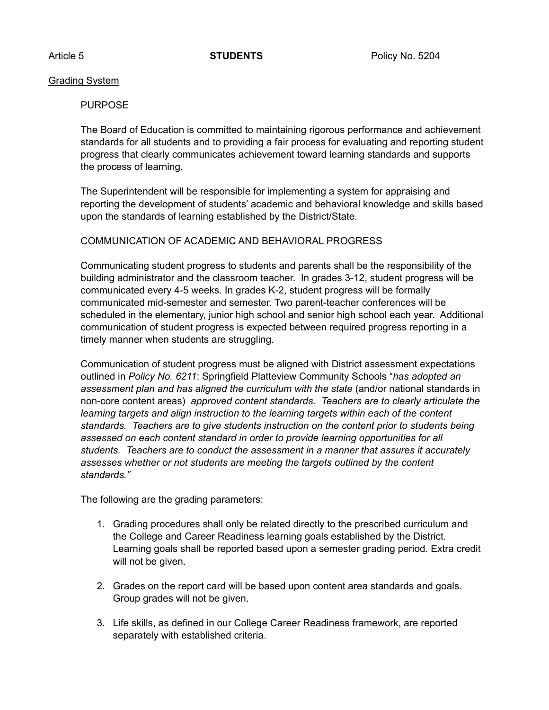## Grading System

## PURPOSE

The Board of Education is committed to maintaining rigorous performance and achievement standards for all students and to providing a fair process for evaluating and reporting student progress that clearly communicates achievement toward learning standards and supports the process of learning.

The Superintendent will be responsible for implementing a system for appraising and reporting the development of students' academic and behavioral knowledge and skills based upon the standards of learning established by the District/State.

## COMMUNICATION OF ACADEMIC AND BEHAVIORAL PROGRESS

Communicating student progress to students and parents shall be the responsibility of the building administrator and the classroom teacher. In grades 3-12, student progress will be communicated every 4-5 weeks. In grades K-2, student progress will be formally communicated mid-semester and semester. Two parent-teacher conferences will be scheduled in the elementary, junior high school and senior high school each year. Additional communication of student progress is expected between required progress reporting in a timely manner when students are struggling.

Communication of student progress must be aligned with District assessment expectations outlined in *Policy No. 6211*: Springfield Platteview Community Schools "*has adopted an*  assessment plan and has aligned the curriculum with the state (and/or national standards in non-core content areas) *approved content standards. Teachers are to clearly articulate the learning targets and align instruction to the learning targets within each of the content standards. Teachers are to give students instruction on the content prior to students being*  assessed on each content standard in order to provide learning opportunities for all *students. Teachers are to conduct the assessment in a manner that assures it accurately assesses whether or not students are meeting the targets outlined by the content standards."* 

The following are the grading parameters:

- 1. Grading procedures shall only be related directly to the prescribed curriculum and the College and Career Readiness learning goals established by the District. Learning goals shall be reported based upon a semester grading period. Extra credit will not be given.
- 2. Grades on the report card will be based upon content area standards and goals. Group grades will not be given.
- 3. Life skills, as defined in our College Career Readiness framework, are reported separately with established criteria.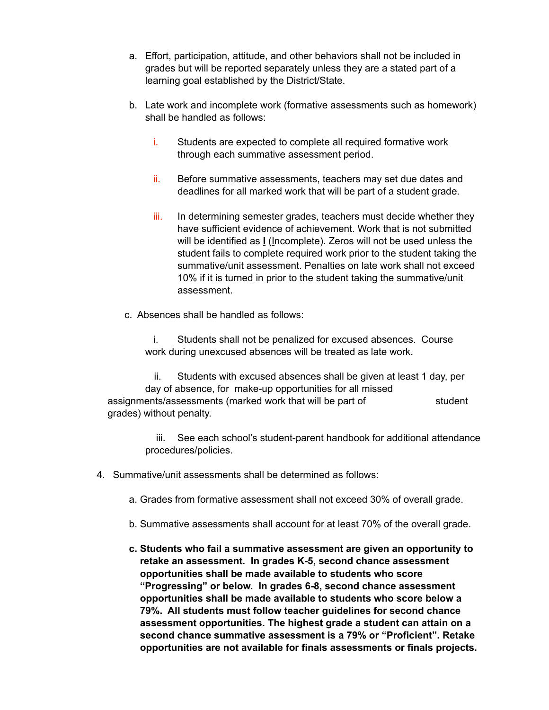- a. Effort, participation, attitude, and other behaviors shall not be included in grades but will be reported separately unless they are a stated part of a learning goal established by the District/State.
- b. Late work and incomplete work (formative assessments such as homework) shall be handled as follows:
	- i. Students are expected to complete all required formative work through each summative assessment period.
	- ii. Before summative assessments, teachers may set due dates and deadlines for all marked work that will be part of a student grade.
	- iii. In determining semester grades, teachers must decide whether they have sufficient evidence of achievement. Work that is not submitted will be identified as **I** (Incomplete). Zeros will not be used unless the student fails to complete required work prior to the student taking the summative/unit assessment. Penalties on late work shall not exceed 10% if it is turned in prior to the student taking the summative/unit assessment.
- c. Absences shall be handled as follows:

 i. Students shall not be penalized for excused absences. Course work during unexcused absences will be treated as late work.

 ii. Students with excused absences shall be given at least 1 day, per day of absence, for make-up opportunities for all missed assignments/assessments (marked work that will be part of student grades) without penalty.

> iii. See each school's student-parent handbook for additional attendance procedures/policies.

- 4. Summative/unit assessments shall be determined as follows:
	- a. Grades from formative assessment shall not exceed 30% of overall grade.
	- b. Summative assessments shall account for at least 70% of the overall grade.
	- **c. Students who fail a summative assessment are given an opportunity to retake an assessment. In grades K-5, second chance assessment opportunities shall be made available to students who score "Progressing" or below. In grades 6-8, second chance assessment opportunities shall be made available to students who score below a 79%. All students must follow teacher guidelines for second chance assessment opportunities. The highest grade a student can attain on a second chance summative assessment is a 79% or "Proficient". Retake opportunities are not available for finals assessments or finals projects.**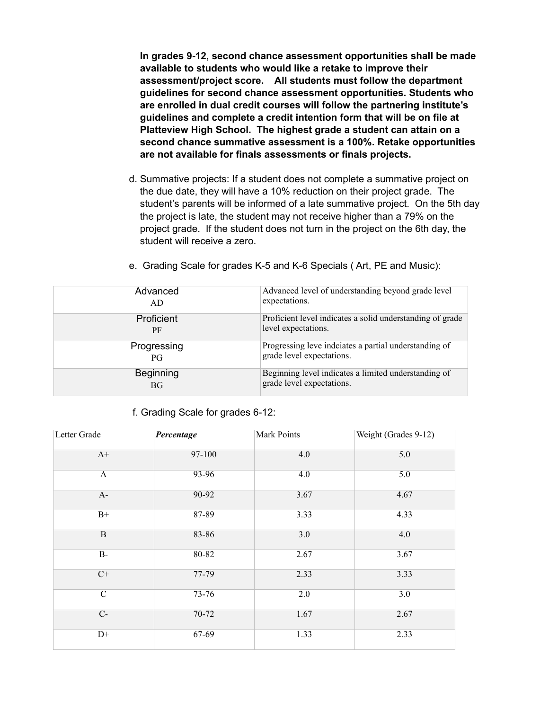**In grades 9-12, second chance assessment opportunities shall be made available to students who would like a retake to improve their assessment/project score. All students must follow the department guidelines for second chance assessment opportunities. Students who are enrolled in dual credit courses will follow the partnering institute's guidelines and complete a credit intention form that will be on file at Platteview High School. The highest grade a student can attain on a second chance summative assessment is a 100%. Retake opportunities are not available for finals assessments or finals projects.** 

d. Summative projects: If a student does not complete a summative project on the due date, they will have a 10% reduction on their project grade. The student's parents will be informed of a late summative project. On the 5th day the project is late, the student may not receive higher than a 79% on the project grade. If the student does not turn in the project on the 6th day, the student will receive a zero.

| Advanced         | Advanced level of understanding beyond grade level        |
|------------------|-----------------------------------------------------------|
| AD               | expectations.                                             |
| Proficient       | Proficient level indicates a solid understanding of grade |
| PF               | level expectations.                                       |
| Progressing      | Progressing leve indciates a partial understanding of     |
| PG               | grade level expectations.                                 |
| <b>Beginning</b> | Beginning level indicates a limited understanding of      |
| <b>BG</b>        | grade level expectations.                                 |
|                  |                                                           |

e. Grading Scale for grades K-5 and K-6 Specials ( Art, PE and Music):

f. Grading Scale for grades 6-12:

| Letter Grade   | Percentage | Mark Points | Weight (Grades 9-12) |
|----------------|------------|-------------|----------------------|
| $A+$           | 97-100     | 4.0         | 5.0                  |
| $\mathbf{A}$   | 93-96      | 4.0         | 5.0                  |
| $A-$           | 90-92      | 3.67        | 4.67                 |
| $B+$           | 87-89      | 3.33        | 4.33                 |
| $\mathbf B$    | 83-86      | 3.0         | 4.0                  |
| $B-$           | 80-82      | 2.67        | 3.67                 |
| $C+$           | 77-79      | 2.33        | 3.33                 |
| $\overline{C}$ | $73 - 76$  | 2.0         | 3.0                  |
| $C-$           | 70-72      | 1.67        | 2.67                 |
| $D+$           | $67-69$    | 1.33        | 2.33                 |